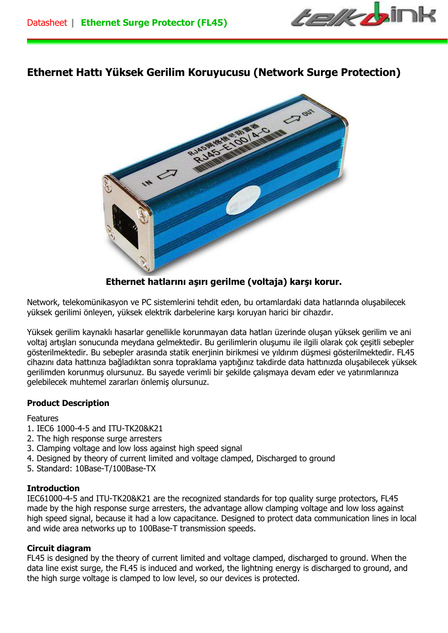

# **Ethernet Hattı Yüksek Gerilim Koruyucusu (Network Surge Protection)**



**Ethernet hatlarını aşırı gerilme (voltaja) karşı korur.** 

Network, telekomünikasyon ve PC sistemlerini tehdit eden, bu ortamlardaki data hatlarında oluşabilecek yüksek gerilimi önleyen, yüksek elektrik darbelerine karşı koruyan harici bir cihazdır.

Yüksek gerilim kaynaklı hasarlar genellikle korunmayan data hatları üzerinde oluşan yüksek gerilim ve ani voltaj artışları sonucunda meydana gelmektedir. Bu gerilimlerin oluşumu ile ilgili olarak çok çeşitli sebepler gösterilmektedir. Bu sebepler arasında statik enerjinin birikmesi ve yıldırım düşmesi gösterilmektedir. FL45 cihazını data hattınıza bağladıktan sonra topraklama yaptığınız takdirde data hattınızda oluşabilecek yüksek gerilimden korunmuş olursunuz. Bu sayede verimli bir şekilde çalışmaya devam eder ve yatırımlarınıza gelebilecek muhtemel zararları önlemiş olursunuz.

## **Product Description**

#### Features

- 1. IEC6 1000-4-5 and ITU-TK20&K21
- 2. The high response surge arresters
- 3. Clamping voltage and low loss against high speed signal
- 4. Designed by theory of current limited and voltage clamped, Discharged to ground
- 5. Standard: 10Base-T/100Base-TX

## **Introduction**

IEC61000-4-5 and ITU-TK20&K21 are the recognized standards for top quality surge protectors, FL45 made by the high response surge arresters, the advantage allow clamping voltage and low loss against high speed signal, because it had a low capacitance. Designed to protect data communication lines in local and wide area networks up to 100Base-T transmission speeds.

## **Circuit diagram**

FL45 is designed by the theory of current limited and voltage clamped, discharged to ground. When the data line exist surge, the FL45 is induced and worked, the lightning energy is discharged to ground, and the high surge voltage is clamped to low level, so our devices is protected.